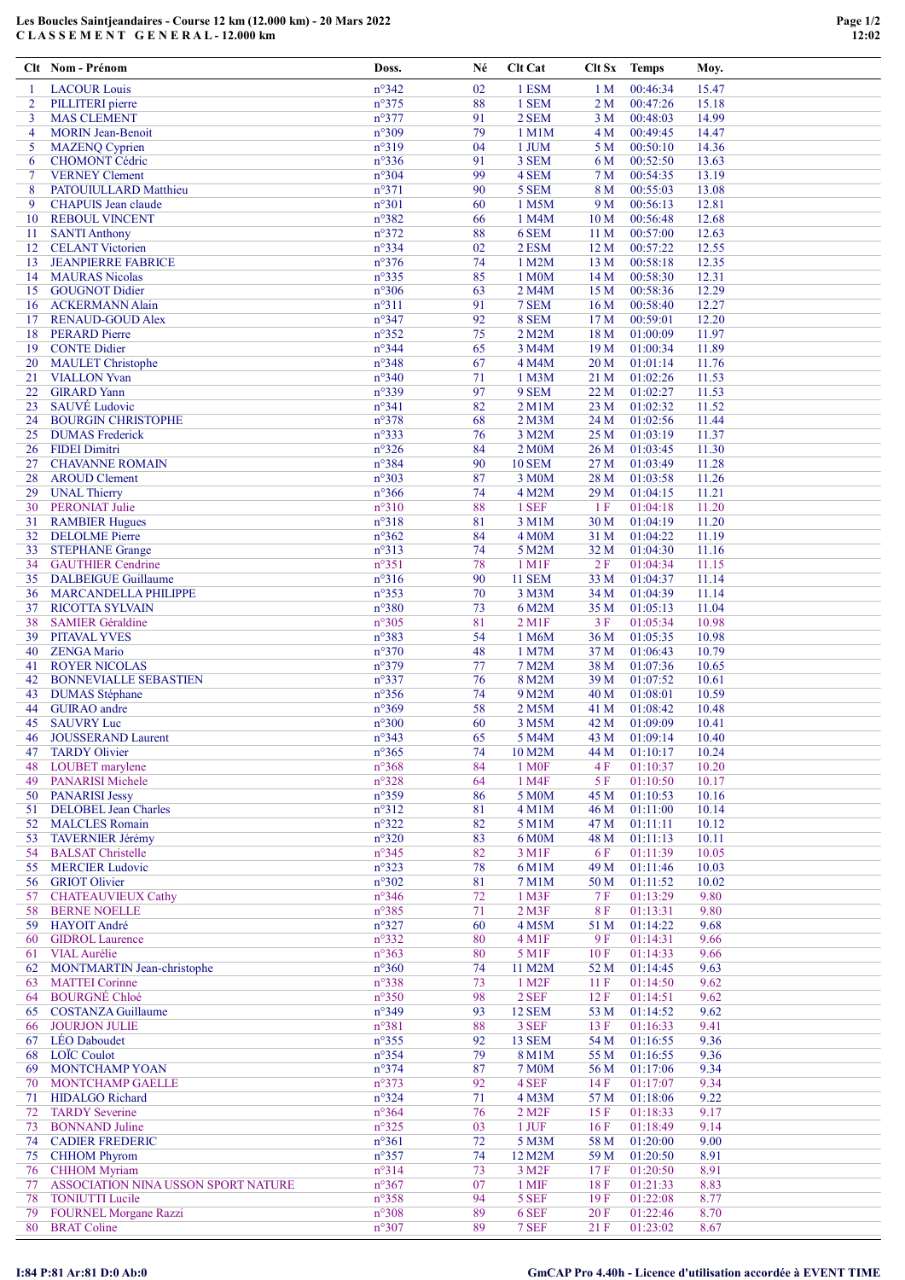## Les Boucles Saintjeandaires - Course 12 km (12.000 km) - 20 Mars 2022 C L A S S E M E N T G E N E R A L - 12.000 km

|                     | Clt Nom - Prénom                                    | Doss.                            | Né       | Clt Cat                     | Clt Sx                             | <b>Temps</b>         | Moy.           |
|---------------------|-----------------------------------------------------|----------------------------------|----------|-----------------------------|------------------------------------|----------------------|----------------|
| -1                  | <b>LACOUR Louis</b>                                 | n°342                            | 02       | 1 ESM                       | 1 <sub>M</sub>                     | 00:46:34             | 15.47          |
| 2                   | PILLITERI pierre                                    | $n^{\circ}375$                   | 88       | 1 SEM                       | 2 <sub>M</sub>                     | 00:47:26             | 15.18          |
| 3                   | <b>MAS CLEMENT</b>                                  | $n^{\circ}377$                   | 91       | 2 SEM                       | 3 M                                | 00:48:03             | 14.99          |
| $\overline{4}$<br>5 | <b>MORIN</b> Jean-Benoit<br><b>MAZENQ Cyprien</b>   | n°309<br>n°319                   | 79<br>04 | 1 M1M<br>1 JUM              | 4 M<br>5 M                         | 00:49:45<br>00:50:10 | 14.47<br>14.36 |
| 6                   | CHOMONT Cédric                                      | n°336                            | 91       | 3 SEM                       | 6 M                                | 00:52:50             | 13.63          |
| $\tau$              | <b>VERNEY Clement</b>                               | $n^{\circ}304$                   | 99       | 4 SEM                       | 7 M                                | 00:54:35             | 13.19          |
| 8                   | PATOUIULLARD Matthieu                               | $n^{\circ}371$                   | 90       | 5 SEM                       | $8\,\rm M$                         | 00:55:03             | 13.08          |
| 9                   | <b>CHAPUIS</b> Jean claude                          | $n^{\circ}301$                   | 60       | 1 M5M                       | 9 M                                | 00:56:13             | 12.81          |
| 10<br>11            | <b>REBOUL VINCENT</b><br><b>SANTI Anthony</b>       | n°382<br>$n^{\circ}372$          | 66<br>88 | 1 M4M<br>6 SEM              | 10 <sub>M</sub><br>11 <sub>M</sub> | 00:56:48<br>00:57:00 | 12.68<br>12.63 |
| 12                  | <b>CELANT</b> Victorien                             | n°334                            | 02       | 2 ESM                       | 12 <sub>M</sub>                    | 00:57:22             | 12.55          |
| 13                  | <b>JEANPIERRE FABRICE</b>                           | $n^{\circ}376$                   | 74       | 1 M2M                       | 13 M                               | 00:58:18             | 12.35          |
| 14                  | <b>MAURAS</b> Nicolas                               | $n^{\circ}335$                   | 85       | 1 M0M                       | 14 M                               | 00:58:30             | 12.31          |
| 15                  | <b>GOUGNOT Didier</b>                               | $n^{\circ}306$                   | 63       | 2 M4M                       | 15 M                               | 00:58:36             | 12.29          |
| 16                  | <b>ACKERMANN Alain</b>                              | $n^{\circ}311$<br>$n^{\circ}347$ | 91<br>92 | 7 SEM                       | 16M                                | 00:58:40             | 12.27<br>12.20 |
| 17<br>18            | <b>RENAUD-GOUD Alex</b><br><b>PERARD Pierre</b>     | n°352                            | 75       | 8 SEM<br>2 M2M              | 17 <sub>M</sub><br>18 M            | 00:59:01<br>01:00:09 | 11.97          |
| 19                  | <b>CONTE Didier</b>                                 | $n^{\circ}344$                   | 65       | 3 M4M                       | 19 M                               | 01:00:34             | 11.89          |
| 20                  | <b>MAULET</b> Christophe                            | $n^{\circ}348$                   | 67       | 4 M4M                       | 20 <sub>M</sub>                    | 01:01:14             | 11.76          |
| 21                  | <b>VIALLON</b> Yvan                                 | $n^{\circ}340$                   | 71       | 1 M3M                       | 21 M                               | 01:02:26             | 11.53          |
| 22                  | <b>GIRARD</b> Yann                                  | n°339                            | 97       | 9 SEM                       | 22 M                               | 01:02:27             | 11.53          |
| 23                  | SAUVÉ Ludovic                                       | $n^{\circ}341$<br>n°378          | 82       | 2 M1M<br>$2$ M $3M$         | 23 M                               | 01:02:32             | 11.52          |
| 24<br>25            | <b>BOURGIN CHRISTOPHE</b><br><b>DUMAS</b> Frederick | n°333                            | 68<br>76 | 3 M2M                       | 24 M<br>25 M                       | 01:02:56<br>01:03:19 | 11.44<br>11.37 |
| 26                  | <b>FIDEI</b> Dimitri                                | $n^{\circ}326$                   | 84       | 2 M <sub>0</sub> M          | 26 M                               | 01:03:45             | 11.30          |
| 27                  | <b>CHAVANNE ROMAIN</b>                              | n°384                            | 90       | <b>10 SEM</b>               | 27 M                               | 01:03:49             | 11.28          |
| 28                  | <b>AROUD Clement</b>                                | n°303                            | 87       | 3 M0M                       | 28 M                               | 01:03:58             | 11.26          |
| 29                  | <b>UNAL Thierry</b>                                 | $n^{\circ}366$                   | 74       | 4 M2M                       | 29 M                               | 01:04:15             | 11.21          |
| 30                  | <b>PERONIAT Julie</b>                               | $n^{\circ}310$                   | 88       | 1 SEF                       | 1F                                 | 01:04:18             | 11.20          |
| 31<br>32            | <b>RAMBIER Hugues</b><br><b>DELOLME</b> Pierre      | n°318<br>$n^{\circ}362$          | 81<br>84 | 3 M1M<br>4 M <sub>0</sub> M | 30 M<br>31 M                       | 01:04:19<br>01:04:22 | 11.20<br>11.19 |
| 33                  | <b>STEPHANE Grange</b>                              | n°313                            | 74       | 5 M2M                       | 32 M                               | 01:04:30             | 11.16          |
| 34                  | <b>GAUTHIER Cendrine</b>                            | $n^{\circ}351$                   | 78       | 1 M1F                       | 2F                                 | 01:04:34             | 11.15          |
| 35                  | <b>DALBEIGUE Guillaume</b>                          | $n^{\circ}316$                   | 90       | <b>11 SEM</b>               | 33 M                               | 01:04:37             | 11.14          |
| 36                  | <b>MARCANDELLA PHILIPPE</b>                         | $n^{\circ}353$                   | 70       | 3 M3M                       | 34 M                               | 01:04:39             | 11.14          |
| 37                  | <b>RICOTTA SYLVAIN</b>                              | $n^{\circ}380$                   | 73       | 6 M2M                       | 35 M                               | 01:05:13             | 11.04          |
| 38                  | <b>SAMIER Géraldine</b>                             | $n^{\circ}305$                   | 81       | $2$ M <sub>1</sub> $F$      | 3F                                 | 01:05:34             | 10.98          |
| 39<br>40            | <b>PITAVAL YVES</b><br><b>ZENGA Mario</b>           | n°383<br>$n^{\circ}370$          | 54<br>48 | 1 M6M<br>1 M7M              | 36 M<br>37 M                       | 01:05:35<br>01:06:43 | 10.98<br>10.79 |
| 41                  | <b>ROYER NICOLAS</b>                                | n°379                            | 77       | 7 M2M                       | 38 M                               | 01:07:36             | 10.65          |
| 42                  | <b>BONNEVIALLE SEBASTIEN</b>                        | $n^{\circ}337$                   | 76       | 8 M2M                       | 39 M                               | 01:07:52             | 10.61          |
| 43                  | <b>DUMAS</b> Stéphane                               | $n^{\circ}356$                   | 74       | 9 M2M                       | 40 M                               | 01:08:01             | 10.59          |
| 44                  | <b>GUIRAO</b> andre                                 | n°369                            | 58       | 2 M5M                       | 41 M                               | 01:08:42             | 10.48          |
| 45                  | <b>SAUVRY Luc</b>                                   | $n^{\circ}300$                   | 60       | 3 M5M                       | 42 M                               | 01:09:09             | 10.41          |
| 46<br>47            | <b>JOUSSERAND Laurent</b><br><b>TARDY Olivier</b>   | $n^{\circ}343$<br>$n^{\circ}365$ | 65<br>74 | 5 M4M<br>10 M2M             | 43 M<br>44 M                       | 01:09:14<br>01:10:17 | 10.40<br>10.24 |
| 48                  | LOUBET marylene                                     | n°368                            | 84       | 1 M <sub>OF</sub>           | 4F                                 | 01:10:37             | 10.20          |
| 49                  | <b>PANARISI Michele</b>                             | $n^{\circ}328$                   | 64       | 1 M4F                       | $5 F$                              | 01:10:50             | 10.17          |
| 50                  | <b>PANARISI Jessy</b>                               | n°359                            | 86       | 5 M0M                       | 45 M                               | 01:10:53             | 10.16          |
| 51                  | <b>DELOBEL Jean Charles</b>                         | $n^{\circ}312$                   | 81       | 4 M1M                       | 46 M                               | 01:11:00             | 10.14          |
| 52                  | <b>MALCLES</b> Romain                               | $n^{\circ}322$                   | 82       | 5 M1M<br>6 M0M              | 47 M                               | 01:11:11             | 10.12          |
| 53<br>54            | <b>TAVERNIER Jérémy</b><br><b>BALSAT Christelle</b> | $n^{\circ}320$<br>$n^{\circ}345$ | 83<br>82 | 3 M1F                       | 48 M<br>6 F                        | 01:11:13<br>01:11:39 | 10.11<br>10.05 |
| 55                  | <b>MERCIER Ludovic</b>                              | $n^{\circ}323$                   | 78       | 6 M1M                       | 49 M                               | 01:11:46             | 10.03          |
| 56                  | <b>GRIOT Olivier</b>                                | $n^{\circ}302$                   | 81       | 7 M1M                       | 50 M                               | 01:11:52             | 10.02          |
| 57                  | <b>CHATEAUVIEUX Cathy</b>                           | $n^{\circ}346$                   | 72       | 1 M3F                       | 7F                                 | 01:13:29             | 9.80           |
| 58                  | <b>BERNE NOELLE</b>                                 | $n^{\circ}385$                   | 71       | $2$ M $3F$                  | 8F                                 | 01:13:31             | 9.80           |
| 59                  | HAYOIT André<br><b>GIDROL Laurence</b>              | $n^{\circ}327$<br>$n^{\circ}332$ | 60<br>80 | 4 M5M<br>4 M1F              | 51 M<br>9 F                        | 01:14:22<br>01:14:31 | 9.68<br>9.66   |
| 60<br>61            | <b>VIAL Aurélie</b>                                 | n°363                            | 80       | 5 M1F                       | 10F                                | 01:14:33             | 9.66           |
| 62                  | MONTMARTIN Jean-christophe                          | $n^{\circ}360$                   | 74       | 11 M2M                      | 52 M                               | 01:14:45             | 9.63           |
| 63                  | <b>MATTEI</b> Corinne                               | $n^{\circ}338$                   | 73       | 1 M <sub>2</sub> F          | 11F                                | 01:14:50             | 9.62           |
| 64                  | <b>BOURGNÉ Chloé</b>                                | $n^{\circ}350$                   | 98       | 2 SEF                       | 12F                                | 01:14:51             | 9.62           |
| 65                  | <b>COSTANZA</b> Guillaume                           | $n^{\circ}349$                   | 93       | <b>12 SEM</b>               | 53 M                               | 01:14:52             | 9.62           |
| 66                  | <b>JOURJON JULIE</b>                                | $n^{\circ}381$                   | 88       | 3 SEF                       | 13F                                | 01:16:33             | 9.41<br>9.36   |
| 67<br>68            | <b>LÉO</b> Daboudet<br>LOIC Coulot                  | $n^{\circ}355$<br>$n^{\circ}354$ | 92<br>79 | 13 SEM<br>8 M1M             | 54 M<br>55 M                       | 01:16:55<br>01:16:55 | 9.36           |
| 69                  | <b>MONTCHAMP YOAN</b>                               | $n^{\circ}374$                   | 87       | <b>7 M0M</b>                | 56 M                               | 01:17:06             | 9.34           |
| 70                  | <b>MONTCHAMP GAELLE</b>                             | n°373                            | 92       | 4 SEF                       | 14F                                | 01:17:07             | 9.34           |
| 71                  | <b>HIDALGO</b> Richard                              | $n^{\circ}324$                   | 71       | 4 M3M                       | 57 M                               | 01:18:06             | 9.22           |
| 72                  | <b>TARDY Severine</b>                               | $n^{\circ}364$                   | 76       | $2$ M <sub>2</sub> $F$      | 15F                                | 01:18:33             | 9.17           |
| 73                  | <b>BONNAND</b> Juline                               | $n^{\circ}325$                   | 03       | $1$ JUF                     | 16F                                | 01:18:49             | 9.14           |
| 74<br>75            | <b>CADIER FREDERIC</b><br><b>CHHOM Phyrom</b>       | $n^{\circ}361$<br>$n^{\circ}357$ | 72<br>74 | 5 M3M<br>12 M2M             | 58 M<br>59 M                       | 01:20:00<br>01:20:50 | 9.00<br>8.91   |
| 76                  | <b>CHHOM Myriam</b>                                 | n°314                            | 73       | 3 M <sub>2F</sub>           | 17F                                | 01:20:50             | 8.91           |
| 77                  | ASSOCIATION NINA USSON SPORT NATURE                 | $n^{\circ}367$                   | 07       | 1 MIF                       | 18F                                | 01:21:33             | 8.83           |
| 78                  | <b>TONIUTTI</b> Lucile                              | $n^{\circ}358$                   | 94       | 5 SEF                       | 19F                                | 01:22:08             | 8.77           |
| 79                  | <b>FOURNEL Morgane Razzi</b>                        | n°308                            | 89       | 6 SEF                       | 20F                                | 01:22:46             | 8.70           |
| 80                  | <b>BRAT Coline</b>                                  | $n^{\circ}307$                   | 89       | 7 SEF                       | 21F                                | 01:23:02             | 8.67           |